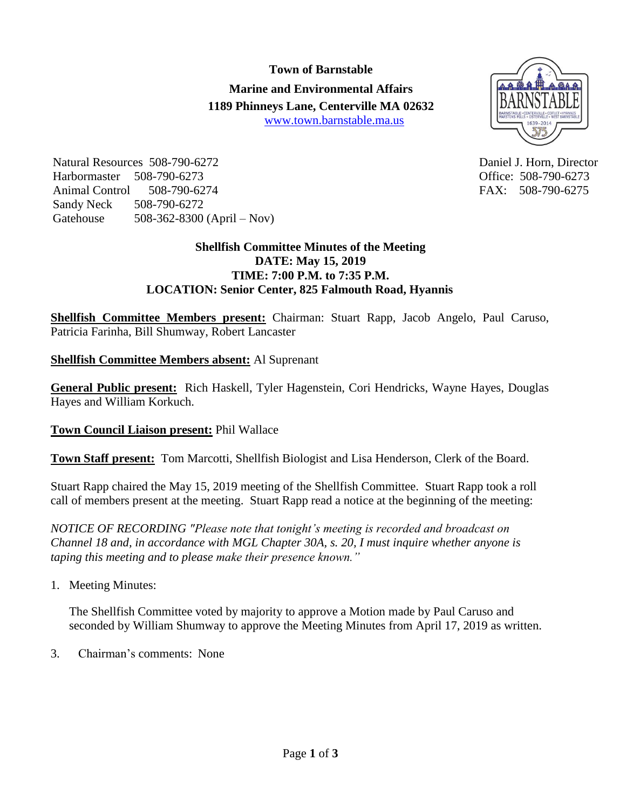## **Town of Barnstable**

**Marine and Environmental Affairs 1189 Phinneys Lane, Centerville MA 02632** [www.town.barnstable.ma.us](http://www.town.barnstable.ma.us/)



Natural Resources 508-790-6272 Daniel J. Horn, Director Harbormaster 508-790-6273 Office: 508-790-6273 Animal Control 508-790-6274 FAX: 508-790-6275 Sandy Neck 508-790-6272 Gatehouse 508-362-8300 (April – Nov)

# **Shellfish Committee Minutes of the Meeting DATE: May 15, 2019 TIME: 7:00 P.M. to 7:35 P.M. LOCATION: Senior Center, 825 Falmouth Road, Hyannis**

**Shellfish Committee Members present:** Chairman: Stuart Rapp, Jacob Angelo, Paul Caruso, Patricia Farinha, Bill Shumway, Robert Lancaster

**Shellfish Committee Members absent:** Al Suprenant

**General Public present:** Rich Haskell, Tyler Hagenstein, Cori Hendricks, Wayne Hayes, Douglas Hayes and William Korkuch.

# **Town Council Liaison present:** Phil Wallace

**Town Staff present:** Tom Marcotti, Shellfish Biologist and Lisa Henderson, Clerk of the Board.

Stuart Rapp chaired the May 15, 2019 meeting of the Shellfish Committee. Stuart Rapp took a roll call of members present at the meeting. Stuart Rapp read a notice at the beginning of the meeting:

*NOTICE OF RECORDING "Please note that tonight's meeting is recorded and broadcast on Channel 18 and, in accordance with MGL Chapter 30A, s. 20, I must inquire whether anyone is taping this meeting and to please make their presence known."*

1. Meeting Minutes:

The Shellfish Committee voted by majority to approve a Motion made by Paul Caruso and seconded by William Shumway to approve the Meeting Minutes from April 17, 2019 as written.

3. Chairman's comments: None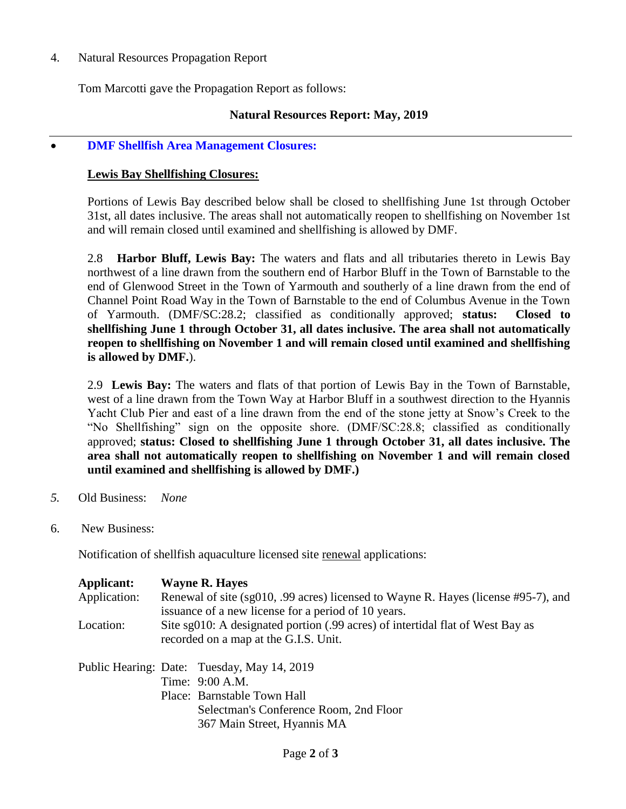4. Natural Resources Propagation Report

Tom Marcotti gave the Propagation Report as follows:

## **Natural Resources Report: May, 2019**

#### **DMF Shellfish Area Management Closures:**

#### **Lewis Bay Shellfishing Closures:**

Portions of Lewis Bay described below shall be closed to shellfishing June 1st through October 31st, all dates inclusive. The areas shall not automatically reopen to shellfishing on November 1st and will remain closed until examined and shellfishing is allowed by DMF.

2.8 **Harbor Bluff, Lewis Bay:** The waters and flats and all tributaries thereto in Lewis Bay northwest of a line drawn from the southern end of Harbor Bluff in the Town of Barnstable to the end of Glenwood Street in the Town of Yarmouth and southerly of a line drawn from the end of Channel Point Road Way in the Town of Barnstable to the end of Columbus Avenue in the Town of Yarmouth. (DMF/SC:28.2; classified as conditionally approved; **status: Closed to shellfishing June 1 through October 31, all dates inclusive. The area shall not automatically reopen to shellfishing on November 1 and will remain closed until examined and shellfishing is allowed by DMF.**).

2.9 **Lewis Bay:** The waters and flats of that portion of Lewis Bay in the Town of Barnstable, west of a line drawn from the Town Way at Harbor Bluff in a southwest direction to the Hyannis Yacht Club Pier and east of a line drawn from the end of the stone jetty at Snow's Creek to the "No Shellfishing" sign on the opposite shore. (DMF/SC:28.8; classified as conditionally approved; **status: Closed to shellfishing June 1 through October 31, all dates inclusive. The area shall not automatically reopen to shellfishing on November 1 and will remain closed until examined and shellfishing is allowed by DMF.)**

- *5.* Old Business: *None*
- 6. New Business:

Notification of shellfish aquaculture licensed site renewal applications:

| Applicant:<br>Application: | <b>Wayne R. Hayes</b><br>Renewal of site (sg010, .99 acres) licensed to Wayne R. Hayes (license #95-7), and<br>issuance of a new license for a period of 10 years.     |
|----------------------------|------------------------------------------------------------------------------------------------------------------------------------------------------------------------|
| Location:                  | Site sg010: A designated portion (.99 acres) of intertidal flat of West Bay as<br>recorded on a map at the G.I.S. Unit.                                                |
|                            | Public Hearing: Date: Tuesday, May 14, 2019<br>Time: 9:00 A.M.<br>Place: Barnstable Town Hall<br>Selectman's Conference Room, 2nd Floor<br>367 Main Street, Hyannis MA |